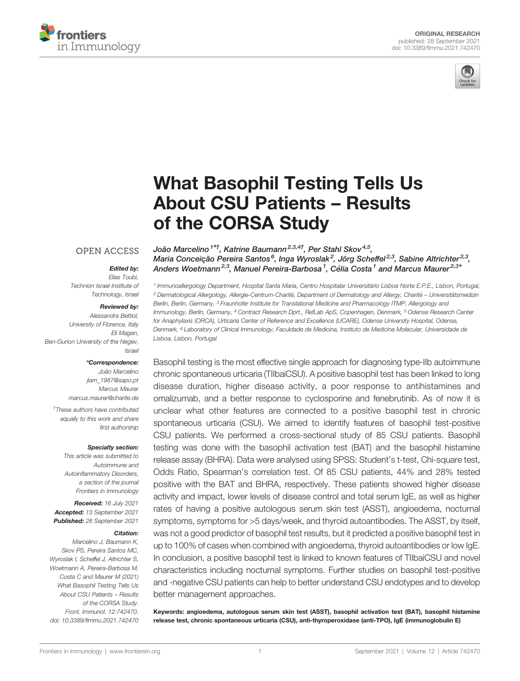



# [What Basophil Testing Tells Us](https://www.frontiersin.org/articles/10.3389/fimmu.2021.742470/full) [About CSU Patients](https://www.frontiersin.org/articles/10.3389/fimmu.2021.742470/full) – Results [of the CORSA Study](https://www.frontiersin.org/articles/10.3389/fimmu.2021.742470/full)

#### **OPEN ACCESS**

#### Edited by:

Elias Toubi, Technion Israel Institute of Technology, Israel

#### Reviewed by:

Alessandra Bettiol, University of Florence, Italy Eli Magen, Ben-Gurion University of the Negev, Israel

#### \*Correspondence:

João Marcelino [jlam\\_1987@sapo.pt](mailto:jlam_1987@sapo.pt) Marcus Maurer [marcus.maurer@charite.de](mailto:marcus.maurer@charite.de)

† These authors have contributed equally to this work and share first authorship

#### Specialty section:

This article was submitted to Autoimmune and Autoinflammatory Disorders, a section of the journal Frontiers in Immunology

Received: 16 July 2021 Accepted: 13 September 2021 Published: 28 September 2021

#### Citation:

Marcelino J, Baumann K, Skov PS, Pereira Santos MC, Wyroslak I, Scheffel J, Altrichter S, Woetmann A, Pereira-Barbosa M, Costa C and Maurer M (2021) What Basophil Testing Tells Us About CSU Patients – Results of the CORSA Study. Front. Immunol. 12:742470. [doi: 10.3389/fimmu.2021.742470](https://doi.org/10.3389/fimmu.2021.742470) João Marcelino<sup>1\*†</sup>, Katrine Baumann<sup>2,3,4†</sup>, Per Stahl Skov<sup>4,5</sup>, Maria Conceição Pereira Santos<sup>6</sup>, Inga Wyroslak<sup>2</sup>, Jörg Scheffel<sup>2,3</sup>, Sabine Altrichter<sup>2,3</sup>, Anders Woetmann<sup>2,3</sup>, Manuel Pereira-Barbosa<sup>1</sup>, Célia Costa<sup>1</sup> and Marcus Maurer<sup>2,3\*</sup>

<sup>1</sup> Immunoallergology Department, Hospital Santa Maria, Centro Hospitalar Universitário Lisboa Norte E.P.E., Lisbon, Portugal, <sup>2</sup> Dermatological Allergology, Allergie-Centrum-Charité, Department of Dermatology and Allergy, Charité – Universitätsmedizin Berlin, Berlin, Germany, <sup>3</sup> Fraunhofer Institute for Translational Medicine and Pharmacology ITMP, Allergology and Immunology, Berlin, Germany, <sup>4</sup> Contract Research Dprt., RefLab ApS, Copenhagen, Denmark, <sup>5</sup> Odense Research Center for Anaphylaxis (ORCA), Urticaria Center of Reference and Excellence (UCARE), Odense University Hospital, Odense, Denmark, <sup>6</sup> Laboratory of Clinical Immunology, Faculdade de Medicina, Instituto de Medicina Molecular, Universidade de Lisboa, Lisbon, Portugal

Basophil testing is the most effective single approach for diagnosing type-IIb autoimmune chronic spontaneous urticaria (TIIbaiCSU). A positive basophil test has been linked to long disease duration, higher disease activity, a poor response to antihistamines and omalizumab, and a better response to cyclosporine and fenebrutinib. As of now it is unclear what other features are connected to a positive basophil test in chronic spontaneous urticaria (CSU). We aimed to identify features of basophil test-positive CSU patients. We performed a cross-sectional study of 85 CSU patients. Basophil testing was done with the basophil activation test (BAT) and the basophil histamine release assay (BHRA). Data were analysed using SPSS: Student's t-test, Chi-square test, Odds Ratio, Spearman's correlation test. Of 85 CSU patients, 44% and 28% tested positive with the BAT and BHRA, respectively. These patients showed higher disease activity and impact, lower levels of disease control and total serum IgE, as well as higher rates of having a positive autologous serum skin test (ASST), angioedema, nocturnal symptoms, symptoms for >5 days/week, and thyroid autoantibodies. The ASST, by itself, was not a good predictor of basophil test results, but it predicted a positive basophil test in up to 100% of cases when combined with angioedema, thyroid autoantibodies or low IgE. In conclusion, a positive basophil test is linked to known features of TIIbaiCSU and novel characteristics including nocturnal symptoms. Further studies on basophil test-positive and -negative CSU patients can help to better understand CSU endotypes and to develop better management approaches.

Keywords: angioedema, autologous serum skin test (ASST), basophil activation test (BAT), basophil histamine release test, chronic spontaneous urticaria (CSU), anti-thyroperoxidase (anti-TPO), IgE (immunoglobulin E)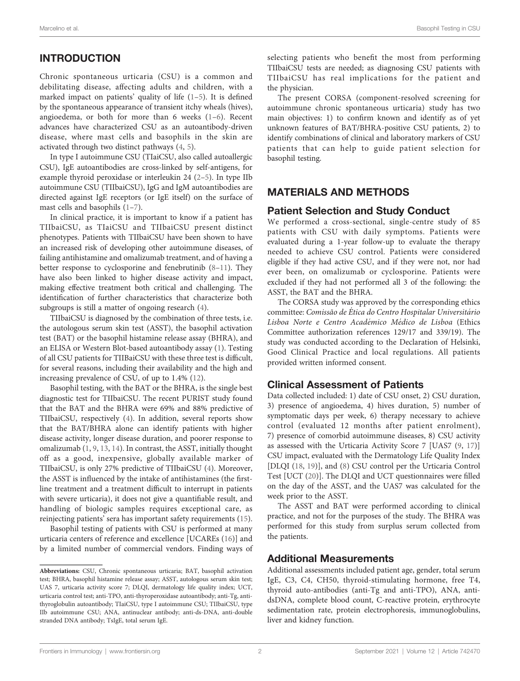# INTRODUCTION

Chronic spontaneous urticaria (CSU) is a common and debilitating disease, affecting adults and children, with a marked impact on patients' quality of life [\(1](#page-7-0)–[5](#page-7-0)). It is defined by the spontaneous appearance of transient itchy wheals (hives), angioedema, or both for more than 6 weeks ([1](#page-7-0)–[6\)](#page-7-0). Recent advances have characterized CSU as an autoantibody-driven disease, where mast cells and basophils in the skin are activated through two distinct pathways ([4](#page-7-0), [5\)](#page-7-0).

In type I autoimmune CSU (TIaiCSU, also called autoallergic CSU), IgE autoantibodies are cross-linked by self-antigens, for example thyroid peroxidase or interleukin 24 [\(2](#page-7-0)–[5](#page-7-0)). In type IIb autoimmune CSU (TIIbaiCSU), IgG and IgM autoantibodies are directed against IgE receptors (or IgE itself) on the surface of mast cells and basophils [\(1](#page-7-0)–[7](#page-7-0)).

In clinical practice, it is important to know if a patient has TIIbaiCSU, as TIaiCSU and TIIbaiCSU present distinct phenotypes. Patients with TIIbaiCSU have been shown to have an increased risk of developing other autoimmune diseases, of failing antihistamine and omalizumab treatment, and of having a better response to cyclosporine and fenebrutinib [\(8](#page-7-0)–[11\)](#page-7-0). They have also been linked to higher disease activity and impact, making effective treatment both critical and challenging. The identification of further characteristics that characterize both subgroups is still a matter of ongoing research [\(4\)](#page-7-0).

TIIbaiCSU is diagnosed by the combination of three tests, i.e. the autologous serum skin test (ASST), the basophil activation test (BAT) or the basophil histamine release assay (BHRA), and an ELISA or Western Blot-based autoantibody assay ([1](#page-7-0)). Testing of all CSU patients for TIIBaiCSU with these three test is difficult, for several reasons, including their availability and the high and increasing prevalence of CSU, of up to 1.4% ([12\)](#page-7-0).

Basophil testing, with the BAT or the BHRA, is the single best diagnostic test for TIIbaiCSU. The recent PURIST study found that the BAT and the BHRA were 69% and 88% predictive of TIIbaiCSU, respectively [\(4\)](#page-7-0). In addition, several reports show that the BAT/BHRA alone can identify patients with higher disease activity, longer disease duration, and poorer response to omalizumab ([1](#page-7-0), [9,](#page-7-0) [13,](#page-7-0) [14](#page-7-0)). In contrast, the ASST, initially thought off as a good, inexpensive, globally available marker of TIIbaiCSU, is only 27% predictive of TIIbaiCSU [\(4\)](#page-7-0). Moreover, the ASST is influenced by the intake of antihistamines (the firstline treatment and a treatment difficult to interrupt in patients with severe urticaria), it does not give a quantifiable result, and handling of biologic samples requires exceptional care, as reinjecting patients' sera has important safety requirements ([15\)](#page-7-0).

Basophil testing of patients with CSU is performed at many urticaria centers of reference and excellence [UCAREs ([16\)](#page-7-0)] and by a limited number of commercial vendors. Finding ways of selecting patients who benefit the most from performing TIIbaiCSU tests are needed; as diagnosing CSU patients with TIIbaiCSU has real implications for the patient and the physician.

The present CORSA (component-resolved screening for autoimmune chronic spontaneous urticaria) study has two main objectives: 1) to confirm known and identify as of yet unknown features of BAT/BHRA-positive CSU patients, 2) to identify combinations of clinical and laboratory markers of CSU patients that can help to guide patient selection for basophil testing.

#### MATERIALS AND METHODS

#### Patient Selection and Study Conduct

We performed a cross-sectional, single-centre study of 85 patients with CSU with daily symptoms. Patients were evaluated during a 1-year follow-up to evaluate the therapy needed to achieve CSU control. Patients were considered eligible if they had active CSU, and if they were not, nor had ever been, on omalizumab or cyclosporine. Patients were excluded if they had not performed all 3 of the following: the ASST, the BAT and the BHRA.

The CORSA study was approved by the corresponding ethics committee: Comissão de Ética do Centro Hospitalar Universitário Lisboa Norte e Centro Académico Médico de Lisboa (Ethics Committee authorization references 129/17 and 339/19). The study was conducted according to the Declaration of Helsinki, Good Clinical Practice and local regulations. All patients provided written informed consent.

#### Clinical Assessment of Patients

Data collected included: 1) date of CSU onset, 2) CSU duration, 3) presence of angioedema, 4) hives duration, 5) number of symptomatic days per week, 6) therapy necessary to achieve control (evaluated 12 months after patient enrolment), 7) presence of comorbid autoimmune diseases, 8) CSU activity as assessed with the Urticaria Activity Score 7 [UAS7 [\(9,](#page-7-0) [17](#page-7-0))] CSU impact, evaluated with the Dermatology Life Quality Index [DLQI ([18,](#page-7-0) [19\)](#page-7-0)], and [\(8](#page-7-0)) CSU control per the Urticaria Control Test [UCT ([20\)](#page-7-0)]. The DLQI and UCT questionnaires were filled on the day of the ASST, and the UAS7 was calculated for the week prior to the ASST.

The ASST and BAT were performed according to clinical practice, and not for the purposes of the study. The BHRA was performed for this study from surplus serum collected from the patients.

#### Additional Measurements

Additional assessments included patient age, gender, total serum IgE, C3, C4, CH50, thyroid-stimulating hormone, free T4, thyroid auto-antibodies (anti-Tg and anti-TPO), ANA, antidsDNA, complete blood count, C-reactive protein, erythrocyte sedimentation rate, protein electrophoresis, immunoglobulins, liver and kidney function.

Abbreviations: CSU, Chronic spontaneous urticaria; BAT, basophil activation test; BHRA, basophil histamine release assay; ASST, autologous serum skin test; UAS 7, urticaria activity score 7; DLQI, dermatology life quality index; UCT, urticaria control test; anti-TPO, anti-thyroperoxidase autoantibody; anti-Tg, antithyroglobulin autoantibody; TIaiCSU, type I autoimmune CSU; TIIbaiCSU, type IIb autoimmune CSU; ANA, antinuclear antibody; anti-ds-DNA, anti-double stranded DNA antibody; TsIgE, total serum IgE.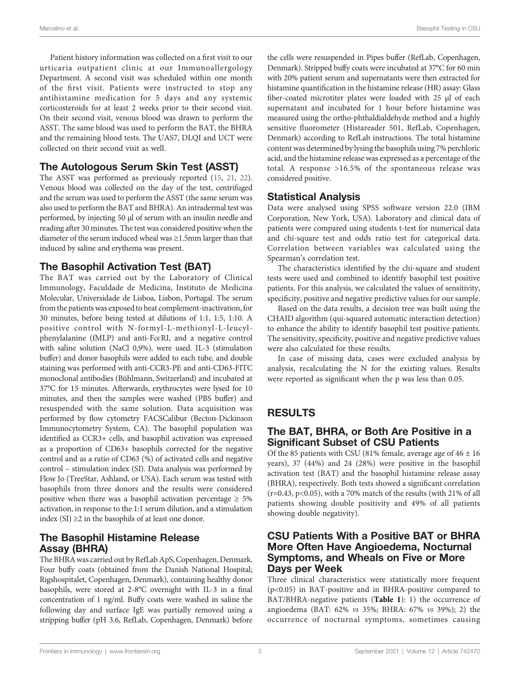Patient history information was collected on a first visit to our urticaria outpatient clinic at our Immunoallergology Department. A second visit was scheduled within one month of the first visit. Patients were instructed to stop any antihistamine medication for 5 days and any systemic corticosteroids for at least 2 weeks prior to their second visit. On their second visit, venous blood was drawn to perform the ASST. The same blood was used to perform the BAT, the BHRA and the remaining blood tests. The UAS7, DLQI and UCT were collected on their second visit as well.

## The Autologous Serum Skin Test (ASST)

The ASST was performed as previously reported ([15](#page-7-0), [21,](#page-7-0) [22\)](#page-7-0). Venous blood was collected on the day of the test, centrifuged and the serum was used to perform the ASST (the same serum was also used to perform the BAT and BHRA). An intradermal test was performed, by injecting 50 μl of serum with an insulin needle and reading after 30 minutes. The test was considered positive when the diameter of the serum induced wheal was ≥1.5mm larger than that induced by saline and erythema was present.

## The Basophil Activation Test (BAT)

The BAT was carried out by the Laboratory of Clinical Immunology, Faculdade de Medicina, Instituto de Medicina Molecular, Universidade de Lisboa, Lisbon, Portugal. The serum from the patients was exposed to heat complement-inactivation, for 30 minutes, before being tested at dilutions of 1:1, 1:5, 1:10. A positive control with N-formyl-L-methionyl-L-leucylphenylalanine (fMLP) and anti-FcϵRI, and a negative control with saline solution (NaCl 0,9%), were used. IL-3 (stimulation buffer) and donor basophils were added to each tube, and double staining was performed with anti-CCR3-PE and anti-CD63-FITC monoclonal antibodies (Bühlmann, Switzerland) and incubated at 37°C for 15 minutes. Afterwards, erythrocytes were lysed for 10 minutes, and then the samples were washed (PBS buffer) and resuspended with the same solution. Data acquisition was performed by flow cytometry FACSCalibur (Becton-Dickinson Immunocytometry System, CA). The basophil population was identified as CCR3+ cells, and basophil activation was expressed as a proportion of CD63+ basophils corrected for the negative control and as a ratio of CD63 (%) of activated cells and negative control – stimulation index (SI). Data analysis was performed by Flow Jo (TreeStar, Ashland, or USA). Each serum was tested with basophils from three donors and the results were considered positive when there was a basophil activation percentage  $\geq 5\%$ activation, in response to the 1:1 serum dilution, and a stimulation index  $(SI) \geq 2$  in the basophils of at least one donor.

## The Basophil Histamine Release Assay (BHRA)

The BHRA was carried out by RefLab ApS, Copenhagen, Denmark. Four buffy coats (obtained from the Danish National Hospital; Rigshospitalet, Copenhagen, Denmark), containing healthy donor basophils, were stored at 2-8°C overnight with IL-3 in a final concentration of 1 ng/ml. Buffy coats were washed in saline the following day and surface IgE was partially removed using a stripping buffer (pH 3.6, RefLab, Copenhagen, Denmark) before

the cells were resuspended in Pipes buffer (RefLab, Copenhagen, Denmark). Stripped buffy coats were incubated at 37°C for 60 min with 20% patient serum and supernatants were then extracted for histamine quantification in the histamine release (HR) assay: Glass fiber-coated microtiter plates were loaded with 25 μl of each supernatant and incubated for 1 hour before histamine was measured using the ortho-phthaldialdehyde method and a highly sensitive fluorometer (Histareader 501, RefLab, Copenhagen, Denmark) according to RefLab instructions. The total histamine content was determined by lysing the basophils using 7% perchloric acid, and the histamine release was expressed as a percentage of the total. A response >16.5% of the spontaneous release was considered positive.

# Statistical Analysis

Data were analysed using SPSS software version 22.0 (IBM Corporation, New York, USA). Laboratory and clinical data of patients were compared using students t-test for numerical data and chi-square test and odds ratio test for categorical data. Correlation between variables was calculated using the Spearman's correlation test.

The characteristics identified by the chi-square and student tests were used and combined to identify basophil test positive patients. For this analysis, we calculated the values of sensitivity, specificity, positive and negative predictive values for our sample.

Based on the data results, a decision tree was built using the CHAID algorithm (qui-squared automatic interaction detection) to enhance the ability to identify basophil test positive patients. The sensitivity, specificity, positive and negative predictive values were also calculated for these results.

In case of missing data, cases were excluded analysis by analysis, recalculating the N for the existing values. Results were reported as significant when the p was less than 0.05.

# RESULTS

## The BAT, BHRA, or Both Are Positive in a Significant Subset of CSU Patients

Of the 85 patients with CSU (81% female, average age of  $46 \pm 16$ ) years), 37 (44%) and 24 (28%) were positive in the basophil activation test (BAT) and the basophil histamine release assay (BHRA), respectively. Both tests showed a significant correlation ( $r=0.43$ ,  $p<0.05$ ), with a 70% match of the results (with 21% of all patients showing double positivity and 49% of all patients showing double negativity).

#### CSU Patients With a Positive BAT or BHRA More Often Have Angioedema, Nocturnal Symptoms, and Wheals on Five or More Days per Week

Three clinical characteristics were statistically more frequent (p<0.05) in BAT-positive and in BHRA-positive compared to BAT/BHRA-negative patients ([Table 1](#page-3-0)): 1) the occurrence of angioedema (BAT: 62% vs 35%; BHRA: 67% vs 39%); 2) the occurrence of nocturnal symptoms, sometimes causing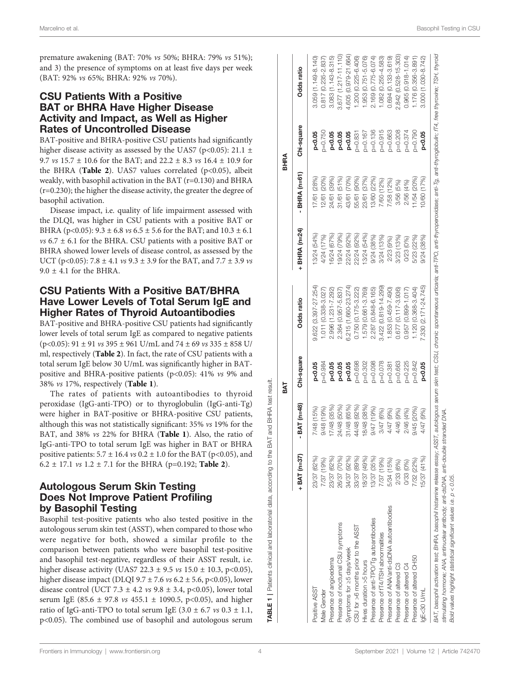<span id="page-3-0"></span>premature awakening (BAT: 70% vs 50%; BHRA: 79% vs 51%); and 3) the presence of symptoms on at least five days per week (BAT: 92% vs 65%; BHRA: 92% vs 70%).

#### CSU Patients With a Positive BAT or BHRA Have Higher Disease Activity and Impact, as Well as Higher Rates of Uncontrolled Disease

BAT-positive and BHRA-positive CSU patients had significantly higher disease activity as assessed by the UAS7 (p<0.05): 21.1  $\pm$ 9.7 *vs* 15.7  $\pm$  10.6 for the BAT; and 22.2  $\pm$  8.3 *vs* 16.4  $\pm$  10.9 for the BHRA ([Table 2](#page-4-0)). UAS7 values correlated ( $p<0.05$ ), albeit weakly, with basophil activation in the BAT (r=0.130) and BHRA (r=0.230); the higher the disease activity, the greater the degree of basophil activation.

Disease impact, i.e. quality of life impairment assessed with the DLQI, was higher in CSU patients with a positive BAT or BHRA (p<0.05):  $9.3 \pm 6.8$  vs  $6.5 \pm 5.6$  for the BAT; and  $10.3 \pm 6.1$  $vs$  6.7  $\pm$  6.1 for the BHRA. CSU patients with a positive BAT or BHRA showed lower levels of disease control, as assessed by the UCT (p<0.05): 7.8  $\pm$  4.1 *vs* 9.3  $\pm$  3.9 for the BAT, and 7.7  $\pm$  3.9 *vs*  $9.0 \pm 4.1$  for the BHRA.

#### CSU Patients With a Positive BAT/BHRA Have Lower Levels of Total Serum IgE and Higher Rates of Thyroid Autoantibodies

BAT-positive and BHRA-positive CSU patients had significantly lower levels of total serum IgE as compared to negative patients  $(p<0.05)$ : 91 ± 91 *vs* 395 ± 961 U/mL and 74 ± 69 *vs* 335 ± 858 U/ ml, respectively ([Table 2](#page-4-0)). In fact, the rate of CSU patients with a total serum IgE below 30 U/mL was significantly higher in BATpositive and BHRA-positive patients (p<0.05): 41% vs 9% and 38% vs 17%, respectively (Table 1).

The rates of patients with autoantibodies to thyroid peroxidase (IgG-anti-TPO) or to thyroglobulin (IgG-anti-Tg) were higher in BAT-positive or BHRA-positive CSU patients, although this was not statistically significant: 35% vs 19% for the BAT, and 38% vs 22% for BHRA (Table 1). Also, the ratio of IgG-anti-TPO to total serum IgE was higher in BAT or BHRA positive patients:  $5.7 \pm 16.4$  vs  $0.2 \pm 1.0$  for the BAT (p<0.05), and 6.2  $\pm$  17.1 *vs* 1.2  $\pm$  7.1 for the BHRA (p=0.192; **[Table 2](#page-4-0)**).

#### Autologous Serum Skin Testing Does Not Improve Patient Profiling by Basophil Testing

Basophil test-positive patients who also tested positive in the autologous serum skin test (ASST), when compared to those who were negative for both, showed a similar profile to the comparison between patients who were basophil test-positive and basophil test-negative, regardless of their ASST result, i.e. higher disease activity (UAS7 22.3  $\pm$  9.5 *vs* 15.0  $\pm$  10.3, p<0.05), higher disease impact (DLQI 9.7  $\pm$  7.6 vs 6.2  $\pm$  5.6, p<0.05), lower disease control (UCT 7.3  $\pm$  4.2 *vs* 9.8  $\pm$  3.4, p<0.05), lower total serum IgE (85.6  $\pm$  97.8 *vs* 455.1  $\pm$  1090.5, p<0.05), and higher ratio of IgG-anti-TPO to total serum IgE  $(3.0 \pm 6.7 \text{ vs } 0.3 \pm 1.1,$ p<0.05). The combined use of basophil and autologous serum

|                                                                                                                                                                                                                                                                                                                                                                                  |              |                | БAТ         |                              |               |                | BHRA        |                        |
|----------------------------------------------------------------------------------------------------------------------------------------------------------------------------------------------------------------------------------------------------------------------------------------------------------------------------------------------------------------------------------|--------------|----------------|-------------|------------------------------|---------------|----------------|-------------|------------------------|
|                                                                                                                                                                                                                                                                                                                                                                                  | + BAT (n=37) | BAT (n=48)     | Chi-square  | Odds ratio                   | + BHRA (n=24) | BHRA (n=61)    | Chi-square  | Odds ratio             |
| Positive ASST                                                                                                                                                                                                                                                                                                                                                                    | 23/37 (62%)  | 7/48 (15%)     | p<0.05      | 9.622 (3.397-27.254)         | 13/24 (54%)   | 7/61 (28%)     | p < 0.05    | $3.059(1.149 - 8.140)$ |
| Male Gender                                                                                                                                                                                                                                                                                                                                                                      | 7/37 (19%)   | 9/48 (19%)     | $0 = 0.984$ | 1.011 (0.338-3.027)          | 4/24 (17%)    | 2/61 (20%)     | $0 = 0.75C$ | 0.817 (0.235-2.837)    |
| Presence of angioedema                                                                                                                                                                                                                                                                                                                                                           | 23/37 (62%)  | 7/48 (35%)     | p<0.05      | 2.996 (1.231-7.292)          | 6/24 (67%)    | 24/61 (39%)    | p<0.05      | $3.083(1.143 - 8.315)$ |
| Presence of nocturnal CSU symptoms                                                                                                                                                                                                                                                                                                                                               | 26/37 (70%)  | 24/48 (50%)    | p<0.05      | 2.364 (0.957-5.837)          | (9/24 (79%)   | (51%)<br>31/61 | p<0.05      | 3.677 (1.217-11.110)   |
| Symptoms for ≥5 days/week                                                                                                                                                                                                                                                                                                                                                        | 34/37 (92%)  | 31/48 (65%)    | p<0.05      | 6.215 (1.660-23.274)         | 22/24 (92%)   | 43/61 (70%)    | p<0.05      | 4.605 (0.979-21.664)   |
| CSU for >6 months prior to the ASST                                                                                                                                                                                                                                                                                                                                              | 33/37 (89%)  | 44/48 (92%)    | $p = 0.698$ | 0.750 (0.175-3.222)          | 22/24 (92%)   | 55/61 (90%)    | $p=0.831$   | 1.200 (0.225-6.406)    |
| Hives duration >5 hours                                                                                                                                                                                                                                                                                                                                                          | 18/37 (49%)  | 8/48 (38%)     | $p = 0.302$ | 1.579 (0.661-3.769)          | 13/24 (54%)   | 23/61 (37%)    | $p = 0.167$ | .953 (0.751-5.076)     |
| Presence of anti-TPO/Tg autoantibodies                                                                                                                                                                                                                                                                                                                                           | 13/37 (35%)  | $(9/47)$ (19%) | $p=0.098$   | 2.287 (0.848-6.165)          | 9/24(38%)     | 13/60 (22%)    | $p = 0.136$ | 2.169 (0.775-6.074)    |
| Presence of FT4/TSH abnormalities                                                                                                                                                                                                                                                                                                                                                | 7/37 (19%)   | 3/47 (6%)      | $0 - 0.078$ | 3.422 (0.819-14.299)         | $3/24$ (13%)  | 7/60 (12%)     | $p = 0.915$ | 1.082 (0.255-4.583)    |
| Presence of ANA/anti-dsDNA autoantibodies                                                                                                                                                                                                                                                                                                                                        | 5/34 (15%)   | 4/47 (9%)      | $0 = 0.381$ | 1.853 (0.459-7.490)          | 2/23 (9%)     | 7/58 (12%)     | $p = 0.663$ | 0.694 (0.133-3.619)    |
| Presence of altered C3                                                                                                                                                                                                                                                                                                                                                           | 2/33 (6%)    | 4/46 (9%)      | $5 = 0.663$ | 0.677 (0.117-3.936)          | 3/23 (13%)    | 3/56 (5%)      | $0 - 0.208$ | 2.842 (0.528-15.303)   |
| Presence of altered C4                                                                                                                                                                                                                                                                                                                                                           | 0/33 (0%)    | 2/46 (4%)      | $0 - 0.225$ | 0.957 (0.899-1.017)          | 0/23(0%)      | 2/56 (4%)      | $D = 0.374$ | $0.965(0.918 - 1.014)$ |
| Presence of altered CH50                                                                                                                                                                                                                                                                                                                                                         | 7/32 (22%)   | 9/45 (20%)     | $p = 0.842$ | $.120(0.368-3.404)$          | 5/23 (22%)    | 1/54 (20%)     | $p = 0.790$ | 1.176 (0.356-3.891)    |
| lgE<30 U/mL                                                                                                                                                                                                                                                                                                                                                                      | 5/37 (41%)   | 4/47 (9%)      | p<0.05      | $(2.330)$ $(2.171 - 24.745)$ | (38%)<br>9/24 | 0/60 (17%)     | p<0.05      | 3.000 (1.030-8.742)    |
| BAT, basophil activation test; BHRA, basophil inistamine release essay; ASST, autologous serum skin test; CSU, chronic spontaneous urticaria; anti-thyroperoxidase; anti-Tg, anti-thyroglobulin; fT4, fee thyroxine; TSH, thyr<br>stimulating hormone; ANA, antinuclear antibody; anti-dsDNA, anti-double<br>Bold values highlight statistical significant values i.e. p < 0.05. |              | stranded DNA   |             |                              |               |                |             |                        |
|                                                                                                                                                                                                                                                                                                                                                                                  |              |                |             |                              |               |                |             |                        |

TABLE 1 | Patients clinical and laboratorial data, according to the BAT and BHRA test result.

TABLE 1 | Patients clinical

and laboratorial data, according to the BAT and

result.

**BHRA** test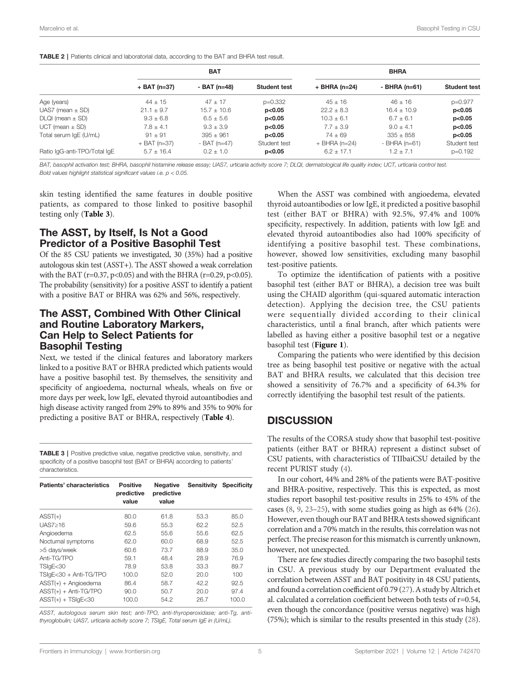|                              | <b>BAT</b>     |                 |                     | <b>BHRA</b>     |                 |                     |  |
|------------------------------|----------------|-----------------|---------------------|-----------------|-----------------|---------------------|--|
|                              | $+$ BAT (n=37) | - BAT (n=48)    | <b>Student test</b> | $+$ BHRA (n=24) | - BHRA $(n=61)$ | <b>Student test</b> |  |
| Age (years)                  | $44 + 15$      | $47 + 17$       | $p=0.332$           | $45 + 16$       | $46 + 16$       | p=0.977             |  |
| UAS7 (mean $\pm$ SD)         | $21.1 \pm 9.7$ | $15.7 \pm 10.6$ | p<0.05              | $22.2 \pm 8.3$  | $16.4 \pm 10.9$ | p<0.05              |  |
| $DLQI$ (mean $\pm$ SD)       | $9.3 \pm 6.8$  | $6.5 \pm 5.6$   | p<0.05              | $10.3 \pm 6.1$  | $6.7 \pm 6.1$   | p<0.05              |  |
| $UCT$ (mean $\pm$ SD)        | $7.8 + 4.1$    | $9.3 + 3.9$     | p<0.05              | $7.7 + 3.9$     | $9.0 + 4.1$     | p<0.05              |  |
| Total serum IgE (U/mL)       | $91 + 91$      | $395 + 961$     | p<0.05              | $74 + 69$       | $335 + 858$     | p<0.05              |  |
|                              | $+$ BAT (n=37) | $-BAT (n=47)$   | Student test        | $+$ BHRA (n=24) | $-BHRA$ (n=61)  | Student test        |  |
| Ratio IgG-anti-TPO/Total IgE | $5.7 \pm 16.4$ | $0.2 + 1.0$     | p<0.05              | $6.2 \pm 17.1$  | $1.2 + 7.1$     | $p=0.192$           |  |

<span id="page-4-0"></span>**TABLE 2** | Patients clinical and laboratorial data, according to the BAT and BHRA test result.

BAT, basophil activation test; BHRA, basophil histamine release essay; UAS7, urticaria activity score 7; DLQI, dermatological life quality index; UCT, urticaria control test. Bold values highlight statistical significant values i.e.  $p < 0.05$ .

skin testing identified the same features in double positive patients, as compared to those linked to positive basophil testing only (Table 3).

#### The ASST, by Itself, Is Not a Good Predictor of a Positive Basophil Test

Of the 85 CSU patients we investigated, 30 (35%) had a positive autologous skin test (ASST+). The ASST showed a weak correlation with the BAT ( $r=0.37$ ,  $p<0.05$ ) and with the BHRA ( $r=0.29$ ,  $p<0.05$ ). The probability (sensitivity) for a positive ASST to identify a patient with a positive BAT or BHRA was 62% and 56%, respectively.

#### The ASST, Combined With Other Clinical and Routine Laboratory Markers, Can Help to Select Patients for Basophil Testing

Next, we tested if the clinical features and laboratory markers linked to a positive BAT or BHRA predicted which patients would have a positive basophil test. By themselves, the sensitivity and specificity of angioedema, nocturnal wheals, wheals on five or more days per week, low IgE, elevated thyroid autoantibodies and high disease activity ranged from 29% to 89% and 35% to 90% for predicting a positive BAT or BHRA, respectively ([Table 4](#page-5-0)).

TABLE 3 | Positive predictive value, negative predictive value, sensitivity, and specificity of a positive basophil test (BAT or BHRA) according to patients' characteristics.

| Patients' characteristics | <b>Positive</b><br>predictive<br>value | <b>Negative</b><br>predictive<br>value | <b>Sensitivity</b> | <b>Specificity</b> |
|---------------------------|----------------------------------------|----------------------------------------|--------------------|--------------------|
| $ASST(+)$                 | 80.0                                   | 61.8                                   | 53.3               | 85.0               |
| UAS7>16                   | 59.6                                   | 55.3                                   | 62.2               | 52.5               |
| Angioedema                | 62.5                                   | 55.6                                   | 55.6               | 62.5               |
| Nocturnal symptoms        | 62.0                                   | 60.0                                   | 68.9               | 52.5               |
| >5 days/week              | 60.6                                   | 73.7                                   | 88.9               | 35.0               |
| Anti-TG/TPO               | 59.1                                   | 48.4                                   | 28.9               | 76.9               |
| TSIgE<30                  | 78.9                                   | 53.8                                   | 33.3               | 89.7               |
| TSIgE<30 + Anti-TG/TPO    | 100.0                                  | 52.0                                   | 20.0               | 100                |
| $ASST(+) + Angioedema$    | 86.4                                   | 58.7                                   | 42.2               | 92.5               |
| $ASST(+) + Anti-TG/TPO$   | 90.0                                   | 50.7                                   | 20.0               | 97.4               |
| $ASST(+) + TSlgE<30$      | 100.0                                  | 54.2                                   | 26.7               | 100.0              |

ASST, autologous serum skin test; anti-TPO, anti-thyroperoxidase; anti-Tg, antithyroglobulin; UAS7, urticaria activity score 7; TSIgE, Total serum IgE in (U/mL).

When the ASST was combined with angioedema, elevated thyroid autoantibodies or low IgE, it predicted a positive basophil test (either BAT or BHRA) with 92.5%, 97.4% and 100% specificity, respectively. In addition, patients with low IgE and elevated thyroid autoantibodies also had 100% specificity of identifying a positive basophil test. These combinations, however, showed low sensitivities, excluding many basophil test-positive patients.

To optimize the identification of patients with a positive basophil test (either BAT or BHRA), a decision tree was built using the CHAID algorithm (qui-squared automatic interaction detection). Applying the decision tree, the CSU patients were sequentially divided according to their clinical characteristics, until a final branch, after which patients were labelled as having either a positive basophil test or a negative basophil test ([Figure 1](#page-5-0)).

Comparing the patients who were identified by this decision tree as being basophil test positive or negative with the actual BAT and BHRA results, we calculated that this decision tree showed a sensitivity of 76.7% and a specificity of 64.3% for correctly identifying the basophil test result of the patients.

## **DISCUSSION**

The results of the CORSA study show that basophil test-positive patients (either BAT or BHRA) represent a distinct subset of CSU patients, with characteristics of TIIbaiCSU detailed by the recent PURIST study [\(4\)](#page-7-0).

In our cohort, 44% and 28% of the patients were BAT-positive and BHRA-positive, respectively. This this is expected, as most studies report basophil test-positive results in 25% to 45% of the cases ([8](#page-7-0), [9,](#page-7-0) [23](#page-7-0)–[25\)](#page-7-0), with some studies going as high as 64% ([26\)](#page-7-0). However, even though our BAT and BHRA tests showed significant correlation and a 70% match in the results, this correlation was not perfect. The precise reason for this mismatch is currently unknown, however, not unexpected.

There are few studies directly comparing the two basophil tests in CSU. A previous study by our Department evaluated the correlation between ASST and BAT positivity in 48 CSU patients, and found a correlation coefficient of 0.79 [\(27](#page-7-0)). A study by Altrich et al. calculated a correlation coefficient between both tests of r=0.54, even though the concordance (positive versus negative) was high (75%); which is similar to the results presented in this study ([28\)](#page-7-0).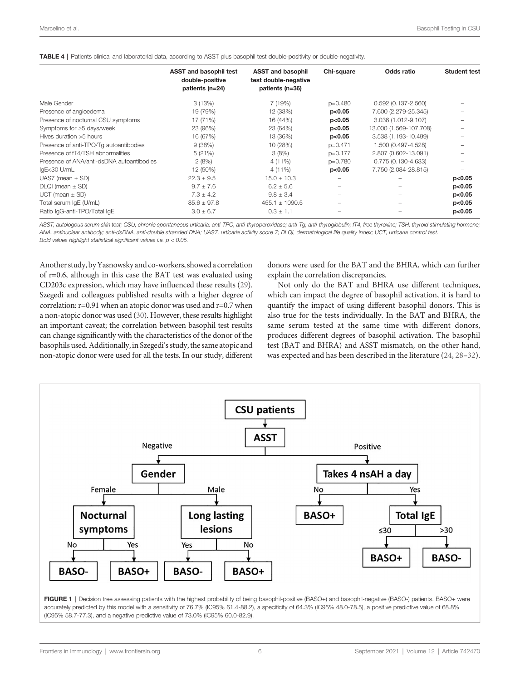#### <span id="page-5-0"></span>TABLE 4 | Patients clinical and laboratorial data, according to ASST plus basophil test double-positivity or double-negativity.

| <b>ASST and basophil test</b><br>double-positive<br>patients (n=24) | <b>ASST and basophil</b><br>test double-negative<br>patients (n=36) | Chi-square | Odds ratio             | <b>Student test</b> |
|---------------------------------------------------------------------|---------------------------------------------------------------------|------------|------------------------|---------------------|
| 3(13%)                                                              | 7 (19%)                                                             | $p=0.480$  | $0.592(0.137 - 2.560)$ |                     |
| 19 (79%)                                                            | 12 (33%)                                                            | p<0.05     | 7.600 (2.279-25.345)   |                     |
| 17 (71%)                                                            | 16 (44%)                                                            | p<0.05     | 3.036 (1.012-9.107)    |                     |
| 23 (96%)                                                            | 23 (64%)                                                            | p<0.05     | 13.000 (1.569-107.708) |                     |
| 16 (67%)                                                            | 13 (36%)                                                            | p<0.05     | 3.538 (1.193-10.499)   |                     |
| 9(38%)                                                              | 10 (28%)                                                            | $p=0.471$  | 1.500 (0.497-4.528)    |                     |
| 5(21%)                                                              | 3(8%)                                                               | p=0.177    | 2.807 (0.602-13.091)   |                     |
| Presence of ANA/anti-dsDNA autoantibodies<br>2(8%)                  | 4 (11%)                                                             | p=0.780    | 0.775 (0.130-4.633)    |                     |
| 12 (50%)                                                            | 4 (11%)                                                             | p<0.05     | 7.750 (2.084-28.815)   |                     |
| $22.3 \pm 9.5$                                                      | $15.0 \pm 10.3$                                                     |            |                        | p<0.05              |
| $9.7 \pm 7.6$                                                       | $6.2 \pm 5.6$                                                       |            |                        | p<0.05              |
| $7.3 \pm 4.2$                                                       | $9.8 \pm 3.4$                                                       |            |                        | p<0.05              |
| $85.6 \pm 97.8$                                                     | $455.1 \pm 1090.5$                                                  |            |                        | p<0.05              |
| $3.0 \pm 6.7$                                                       | $0.3 \pm 1.1$                                                       |            |                        | p<0.05              |
|                                                                     |                                                                     |            |                        |                     |

ASST, autologous serum skin test; CSU, chronic spontaneous urticaria; anti-TPO, anti-thyroperoxidase; anti-Tg, anti-thyroglobulin; fT4, free thyroxine; TSH, thyroid stimulating hormone; ANA, antinuclear antibody; anti-dsDNA, anti-double stranded DNA; UAS7, urticaria activity score 7; DLQI, dermatological life quality index; UCT, urticaria control test. Bold values highlight statistical significant values i.e.  $p < 0.05$ .

Another study, byYasnowsky and co-workers, showed a correlation of r=0.6, although in this case the BAT test was evaluated using CD203c expression, which may have influenced these results [\(29\)](#page-7-0). Szegedi and colleagues published results with a higher degree of correlation: r=0.91 when an atopic donor was used and r=0.7 when a non-atopic donor was used [\(30\)](#page-7-0). However, these results highlight an important caveat; the correlation between basophil test results can change significantly with the characteristics of the donor of the basophils used. Additionally, in Szegedi's study, the same atopic and non-atopic donor were used for all the tests. In our study, different

donors were used for the BAT and the BHRA, which can further explain the correlation discrepancies.

Not only do the BAT and BHRA use different techniques, which can impact the degree of basophil activation, it is hard to quantify the impact of using different basophil donors. This is also true for the tests individually. In the BAT and BHRA, the same serum tested at the same time with different donors, produces different degrees of basophil activation. The basophil test (BAT and BHRA) and ASST mismatch, on the other hand, was expected and has been described in the literature [\(24,](#page-7-0) [28](#page-7-0)–[32\)](#page-7-0).

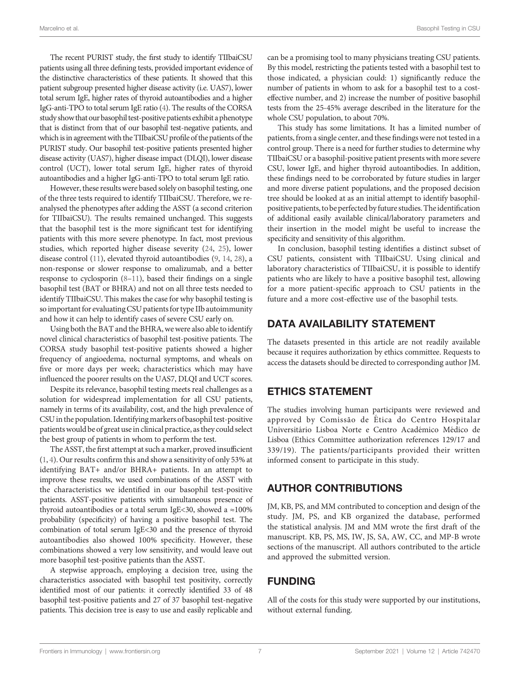The recent PURIST study, the first study to identify TIIbaiCSU patients using all three defining tests, provided important evidence of the distinctive characteristics of these patients. It showed that this patient subgroup presented higher disease activity (i.e. UAS7), lower total serum IgE, higher rates of thyroid autoantibodies and a higher IgG-anti-TPO to total serum IgE ratio [\(4\)](#page-7-0). The results of the CORSA study show that our basophil test-positive patients exhibit a phenotype that is distinct from that of our basophil test-negative patients, and which is in agreement with the TIIbaiCSU profile of the patients of the PURIST study. Our basophil test-positive patients presented higher disease activity (UAS7), higher disease impact (DLQI), lower disease control (UCT), lower total serum IgE, higher rates of thyroid autoantibodies and a higher IgG-anti-TPO to total serum IgE ratio.

However, these results were based solely on basophil testing, one of the three tests required to identify TIIbaiCSU. Therefore, we reanalysed the phenotypes after adding the ASST (a second criterion for TIIbaiCSU). The results remained unchanged. This suggests that the basophil test is the more significant test for identifying patients with this more severe phenotype. In fact, most previous studies, which reported higher disease severity ([24,](#page-7-0) [25\)](#page-7-0), lower disease control [\(11](#page-7-0)), elevated thyroid autoantibodies ([9,](#page-7-0) [14,](#page-7-0) [28](#page-7-0)), a non-response or slower response to omalizumab, and a better response to cyclosporin ([8](#page-7-0)–[11\)](#page-7-0), based their findings on a single basophil test (BAT or BHRA) and not on all three tests needed to identify TIIbaiCSU. This makes the case for why basophil testing is so important for evaluating CSU patients for type IIb autoimmunity and how it can help to identify cases of severe CSU early on.

Using both the BAT and the BHRA, we were also able to identify novel clinical characteristics of basophil test-positive patients. The CORSA study basophil test-positive patients showed a higher frequency of angioedema, nocturnal symptoms, and wheals on five or more days per week; characteristics which may have influenced the poorer results on the UAS7, DLQI and UCT scores.

Despite its relevance, basophil testing meets real challenges as a solution for widespread implementation for all CSU patients, namely in terms of its availability, cost, and the high prevalence of CSU in the population. Identifying markers of basophil test-positive patients would be of great use in clinical practice, as they could select the best group of patients in whom to perform the test.

The ASST, the first attempt at such a marker, proved insufficient ([1,](#page-7-0) [4](#page-7-0)). Our results confirm this and show a sensitivity of only 53% at identifying BAT+ and/or BHRA+ patients. In an attempt to improve these results, we used combinations of the ASST with the characteristics we identified in our basophil test-positive patients. ASST-positive patients with simultaneous presence of thyroid autoantibodies or a total serum IgE<30, showed a ≈100% probability (specificity) of having a positive basophil test. The combination of total serum IgE<30 and the presence of thyroid autoantibodies also showed 100% specificity. However, these combinations showed a very low sensitivity, and would leave out more basophil test-positive patients than the ASST.

A stepwise approach, employing a decision tree, using the characteristics associated with basophil test positivity, correctly identified most of our patients: it correctly identified 33 of 48 basophil test-positive patients and 27 of 37 basophil test-negative patients. This decision tree is easy to use and easily replicable and can be a promising tool to many physicians treating CSU patients. By this model, restricting the patients tested with a basophil test to those indicated, a physician could: 1) significantly reduce the number of patients in whom to ask for a basophil test to a costeffective number, and 2) increase the number of positive basophil tests from the 25-45% average described in the literature for the whole CSU population, to about 70%.

This study has some limitations. It has a limited number of patients, from a single center, and these findings were not tested in a control group. There is a need for further studies to determine why TIIbaiCSU or a basophil-positive patient presents with more severe CSU, lower IgE, and higher thyroid autoantibodies. In addition, these findings need to be corroborated by future studies in larger and more diverse patient populations, and the proposed decision tree should be looked at as an initial attempt to identify basophilpositive patients, to be perfected by future studies. The identification of additional easily available clinical/laboratory parameters and their insertion in the model might be useful to increase the specificity and sensitivity of this algorithm.

In conclusion, basophil testing identifies a distinct subset of CSU patients, consistent with TIIbaiCSU. Using clinical and laboratory characteristics of TIIbaiCSU, it is possible to identify patients who are likely to have a positive basophil test, allowing for a more patient-specific approach to CSU patients in the future and a more cost-effective use of the basophil tests.

# DATA AVAILABILITY STATEMENT

The datasets presented in this article are not readily available because it requires authorization by ethics committee. Requests to access the datasets should be directed to corresponding author JM.

# ETHICS STATEMENT

The studies involving human participants were reviewed and approved by Comissão de É tica do Centro Hospitalar Universitário Lisboa Norte e Centro Académico Médico de Lisboa (Ethics Committee authorization references 129/17 and 339/19). The patients/participants provided their written informed consent to participate in this study.

# AUTHOR CONTRIBUTIONS

JM, KB, PS, and MM contributed to conception and design of the study. JM, PS, and KB organized the database, performed the statistical analysis. JM and MM wrote the first draft of the manuscript. KB, PS, MS, IW, JS, SA, AW, CC, and MP-B wrote sections of the manuscript. All authors contributed to the article and approved the submitted version.

## FUNDING

All of the costs for this study were supported by our institutions, without external funding.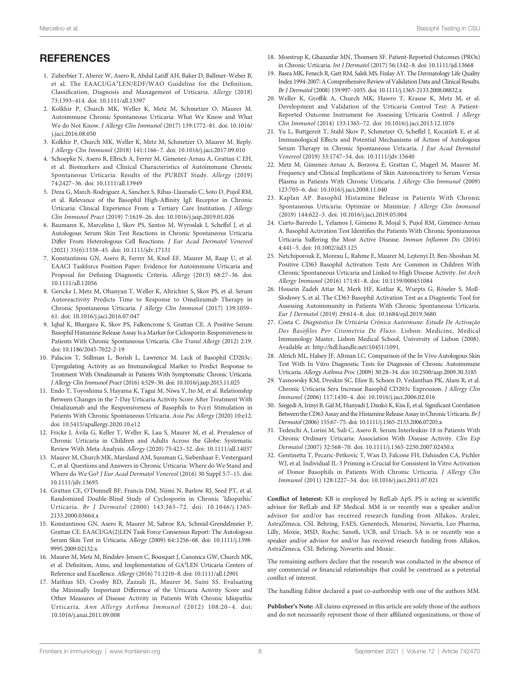# <span id="page-7-0"></span>**REFERENCES**

- 1. Zuberbier T, Aberer W, Asero R, Abdul Latiff AH, Baker D, Ballmer-Weber B, et al. The EAACI/GA²LEN/EDF/WAO Guideline for the Definition, Classification, Diagnosis and Management of Urticaria. Allergy (2018) 73:1393–414. doi: [10.1111/all.13397](https://doi.org/10.1111/all.13397)
- 2. Kolkhir P, Church MK, Weller K, Metz M, Schmetzer O, Maurer M. Autoimmune Chronic Spontaneous Urticaria: What We Know and What We do Not Know. J Allergy Clin Immunol (2017) 139:1772–81. doi: [10.1016/](https://doi.org/10.1016/j.jaci.2016.08.050) [j.jaci.2016.08.050](https://doi.org/10.1016/j.jaci.2016.08.050)
- 3. Kolkhir P, Church MK, Weller K, Metz M, Schmetzer O, Maurer M. Reply. J Allergy Clin Immunol (2018) 141:1166–7. doi: [10.1016/j.jaci.2017.09.010](https://doi.org/10.1016/j.jaci.2017.09.010)
- 4. Schoepke N, Asero R, Ellrich A, Ferrer M, Gimenez-Arnau A, Grattan C EH, et al. Biomarkers and Clinical Characteristics of Autoimmune Chronic Spontaneous Urticaria: Results of the PURIST Study. Allergy (2019) 74:2427–36. doi: [10.1111/all.13949](https://doi.org/10.1111/all.13949)
- 5. Deza G, March-Rodríguez A, Sánchez S, Ribas-Llauradó C, Soto D, Pujol RM, et al. Relevance of the Basophil High-Affinity IgE Receptor in Chronic Urticaria: Clinical Experience From a Tertiary Care Institution. J Allergy Clin Immunol Pract (2019) 7:1619–26. doi: [10.1016/j.jaip.2019.01.026](https://doi.org/10.1016/j.jaip.2019.01.026)
- 6. Baumann K, Marcelino J, Skov PS, Santos M, Wyroslak I, Scheffel J, et al. Autologous Serum Skin Test Reactions in Chronic Spontaneous Urticaria Differ From Heterologous Cell Reactions. J Eur Acad Dermatol Venereol (2021) 35(6):1338–45. doi: [10.1111/jdv.17131](https://doi.org/10.1111/jdv.17131)
- 7. Konstantinou GN, Asero R, Ferrer M, Knol EF, Maurer M, Raap U, et al. EAACI Taskforce Position Paper: Evidence for Autoimmune Urticaria and Proposal for Defining Diagnostic Criteria. Allergy (2013) 68:27–36. doi: [10.1111/all.12056](https://doi.org/10.1111/all.12056)
- 8. Gericke J, Metz M, Ohanyan T, Weller K, Altrichter S, Skov PS, et al. Serum Autoreactivity Predicts Time to Response to Omalizumab Therapy in Chronic Spontaneous Urticaria. J Allergy Clin Immunol (2017) 139:1059– 61. doi: [10.1016/j.jaci.2016.07.047](https://doi.org/10.1016/j.jaci.2016.07.047)
- 9. Iqbal K, Bhargava K, Skov PS, Falkencrone S, Grattan CE. A Positive Serum Basophil Histamine Release Assay Is a Marker for Ciclosporin-Responsiveness in Patients With Chronic Spontaneous Urticaria. Clin Transl Allergy (2012) 2:19. doi: [10.1186/2045-7022-2-19](https://doi.org/10.1186/2045-7022-2-19)
- 10. Palacios T, Stillman L, Borish L, Lawrence M. Lack of Basophil CD203c-Upregulating Activity as an Immunological Marker to Predict Response to Treatment With Omalizumab in Patients With Symptomatic Chronic Urticaria. J Allergy Clin Immunol Pract (2016) 4:529–30. doi: [10.1016/j.jaip.2015.11.025](https://doi.org/10.1016/j.jaip.2015.11.025)
- 11. Endo T, Toyoshima S, Hayama K, Tagui M, Niwa Y, Ito M, et al. Relationship Between Changes in the 7-Day Urticaria Activity Score After Treatment With Omalizumab and the Responsiveness of Basophils to Fceri Stimulation in Patients With Chronic Spontaneous Urticaria. Asia Pac Allergy (2020) 10:e12. doi: [10.5415/apallergy.2020.10.e12](https://doi.org/10.5415/apallergy.2020.10.e12)
- 12. Fricke J, Á vila G, Keller T, Weller K, Lau S, Maurer M, et al. Prevalence of Chronic Urticaria in Children and Adults Across the Globe: Systematic Review With Meta-Analysis. Allergy (2020) 75:423–32. doi: [10.1111/all.14037](https://doi.org/10.1111/all.14037)
- 13. Maurer M, Church MK, Marsland AM, Sussman G, Siebenhaar F, Vestergaard C, et al. Questions and Answers in Chronic Urticaria: Where do We Stand and Where do We Go? J Eur Acad Dermatol Venereol (2016) 30 Suppl 5:7–15. doi: [10.1111/jdv.13695](https://doi.org/10.1111/jdv.13695)
- 14. Grattan CE, O'Donnell BF, Francis DM, Niimi N, Barlow RJ, Seed PT, et al. Randomized Double-Blind Study of Cyclosporin in Chronic 'Idiopathic' Urticaria. Br J Dermatol (2000) 143:365–72. doi: [10.1046/j.1365-](https://doi.org/10.1046/j.1365-2133.2000.03664.x) [2133.2000.03664.x](https://doi.org/10.1046/j.1365-2133.2000.03664.x)
- 15. Konstantinou GN, Asero R, Maurer M, Sabroe RA, Schmid-Grendelmeier P, Grattan CE. EAACI/GA(2)LEN Task Force Consensus Report: The Autologous Serum Skin Test in Urticaria. Allergy (2009) 64::1256–68. doi: [10.1111/j.1398-](https://doi.org/10.1111/j.1398-9995.2009.02132.x) [9995.2009.02132.x](https://doi.org/10.1111/j.1398-9995.2009.02132.x)
- 16. Maurer M, Metz M, Bindslev-Jensen C, Bousquet J, Canonica GW, Church MK, et al. Definition, Aims, and Implementation of GA²LEN Urticaria Centers of Reference and Excellence. Allergy (2016) 71:1210–8. doi: [10.1111/all.12901](https://doi.org/10.1111/all.12901)
- 17. Mathias SD, Crosby RD, Zazzali JL, Maurer M, Saini SS. Evaluating the Minimally Important Difference of the Urticaria Activity Score and Other Measures of Disease Activity in Patients With Chronic Idiopathic Urticaria. Ann Allergy Asthma Immunol (2012) 108:20–4. doi: [10.1016/j.anai.2011.09.008](https://doi.org/10.1016/j.anai.2011.09.008)
- 18. Moestrup K, Ghazanfar MN, Thomsen SF. Patient-Reported Outcomes (PROs) in Chronic Urticaria. Int J Dermatol (2017) 56:1342–8. doi: [10.1111/ijd.13668](https://doi.org/10.1111/ijd.13668)
- 19. Basra MK, Fenech R, Gatt RM, Salek MS, Finlay AY. The Dermatology Life Quality Index 1994-2007:A Comprehensive Review of Validation Data and Clinical Results. Br J Dermatol (2008) 159:997–1035. doi: [10.1111/j.1365-2133.2008.08832.x](https://doi.org/10.1111/j.1365-2133.2008.08832.x)
- 20. Weller K, Groffik A, Church MK, Hawro T, Krause K, Metz M, et al. Development and Validation of the Urticaria Control Test: A Patient-Reported Outcome Instrument for Assessing Urticaria Control. J Allergy Clin Immunol (2014) 133:1365–72. doi: [10.1016/j.jaci.2013.12.1076](https://doi.org/10.1016/j.jaci.2013.12.1076)
- 21. Yu L, Buttgereit T, Stahl Skov P, Schmetzer O, Scheffel J, Kocatürk E, et al. Immunological Effects and Potential Mechanisms of Action of Autologous Serum Therapy in Chronic Spontaneous Urticaria. J Eur Acad Dermatol Venereol (2019) 33:1747–54. doi: [10.1111/jdv.15640](https://doi.org/10.1111/jdv.15640)
- 22. Metz M, Gimenez-Arnau A, Borzova E, Grattan C, Magerl M, Maurer M. Frequency and Clinical Implications of Skin Autoreactivity to Serum Versus Plasma in Patients With Chronic Urticaria. J Allergy Clin Immunol (2009) 123:705–6. doi: [10.1016/j.jaci.2008.11.040](https://doi.org/10.1016/j.jaci.2008.11.040)
- 23. Kaplan AP. Basophil Histamine Release in Patients With Chronic Spontaneous Urticaria: Optimize or Minimize. J Allergy Clin Immunol (2019) 144:622–3. doi: [10.1016/j.jaci.2019.05.004](https://doi.org/10.1016/j.jaci.2019.05.004)
- 24. Curto-Barredo L, Yelamos J, Gimeno R, Mojal S, Pujol RM, Giménez-Arnau A. Basophil Activation Test Identifies the Patients With Chronic Spontaneous Urticaria Suffering the Most Active Disease. Immun Inflamm Dis (2016) 4:441–5. doi: [10.1002/iid3.125](https://doi.org/10.1002/iid3.125)
- 25. Netchiporouk E, Moreau L, Rahme E, Maurer M, Lejtenyi D, Ben-Shoshan M. Positive CD63 Basophil Activation Tests Are Common in Children With Chronic Spontaneous Urticaria and Linked to High Disease Activity. Int Arch Allergy Immunol (2016) 171:81–8. doi: [10.1159/000451084](https://doi.org/10.1159/000451084)
- 26. Hossein Zadeh Attar M, Merk HF, Kotliar K, Wurpts G, Röseler S, Moll-Slodowy S, et al. The CD63 Basophil Activation Test as a Diagnostic Tool for Assessing Autoimmunity in Patients With Chronic Spontaneous Urticaria. Eur J Dermatol (2019) 29:614–8. doi: [10.1684/ejd.2019.3680](https://doi.org/10.1684/ejd.2019.3680)
- 27. Costa C. Diagnóstico De Urticária Crónica Autoimune: Estudo De Activação Dos Basófilos Por Citometria De Fluxo. Lisbon: Medicine, Medical Immunology Master, Lisbon Medical School, University of Lisbon (2008). Available at: [http://hdl.handle.net/10451/1091.](http://hdl.handle.net/10451/1091)
- 28. Altrich ML, Halsey JF, Altman LC. Comparison of the In Vivo Autologous Skin Test With In Vitro Diagnostic Tests for Diagnosis of Chronic Autoimmune Urticaria. Allergy Asthma Proc (2009) 30:28–34. doi: [10.2500/aap.2009.30.3185](https://doi.org/10.2500/aap.2009.30.3185)
- 29. Yasnowsky KM, Dreskin SC, Efaw B, Schoen D, Vedanthan PK, Alam R, et al. Chronic Urticaria Sera Increase Basophil CD203c Expression. J Allergy Clin Immunol (2006) 117:1430–4. doi: [10.1016/j.jaci.2006.02.016](https://doi.org/10.1016/j.jaci.2006.02.016)
- 30. Szegedi A, Irinyi B, Gá l M, Hunyadi J, DankóK, Kiss E, et al. Significant Correlation Between the CD63 Assay and the Histamine Release Assay in Chronic Urticaria. Br J Dermatol (2006) 155:67–75. doi: [10.1111/j.1365-2133.2006.07205.x](https://doi.org/10.1111/j.1365-2133.2006.07205.x)
- 31. Tedeschi A, Lorini M, Suli C, Asero R. Serum Interleukin-18 in Patients With Chronic Ordinary Urticaria: Association With Disease Activity. Clin Exp Dermatol (2007) 32:568–70. doi: [10.1111/j.1365-2230.2007.02450.x](https://doi.org/10.1111/j.1365-2230.2007.02450.x)
- 32. Gentinetta T, Pecaric-Petkovic T, Wan D, Falcone FH, Dahinden CA, Pichler WJ, et al. Individual IL-3 Priming is Crucial for Consistent In Vitro Activation of Donor Basophils in Patients With Chronic Urticaria. J Allergy Clin Immunol (2011) 128:1227–34. doi: [10.1016/j.jaci.2011.07.021](https://doi.org/10.1016/j.jaci.2011.07.021)

Conflict of Interest: KB is employed by RefLab ApS. PS is acting as scientifi<sup>c</sup> advisor for RefLab and EP Medical. MM is or recently was a speaker and/or advisor for and/or has received research funding from Allakos, Aralez, AstraZeneca, CSL Behring, FAES, Genentech, Menarini, Novartis, Leo Pharma, Lilly, Moxie, MSD, Roche, Sanofi, UCB, and Uriach. SA is or recently was a speaker and/or advisor for and/or has received research funding from Allakos, AstraZeneca, CSL Behring, Novartis and Moxie.

The remaining authors declare that the research was conducted in the absence of any commercial or financial relationships that could be construed as a potential conflict of interest.

The handling Editor declared a past co-authorship with one of the authors MM.

Publisher's Note: All claims expressed in this article are solely those of the authors and do not necessarily represent those of their affiliated organizations, or those of